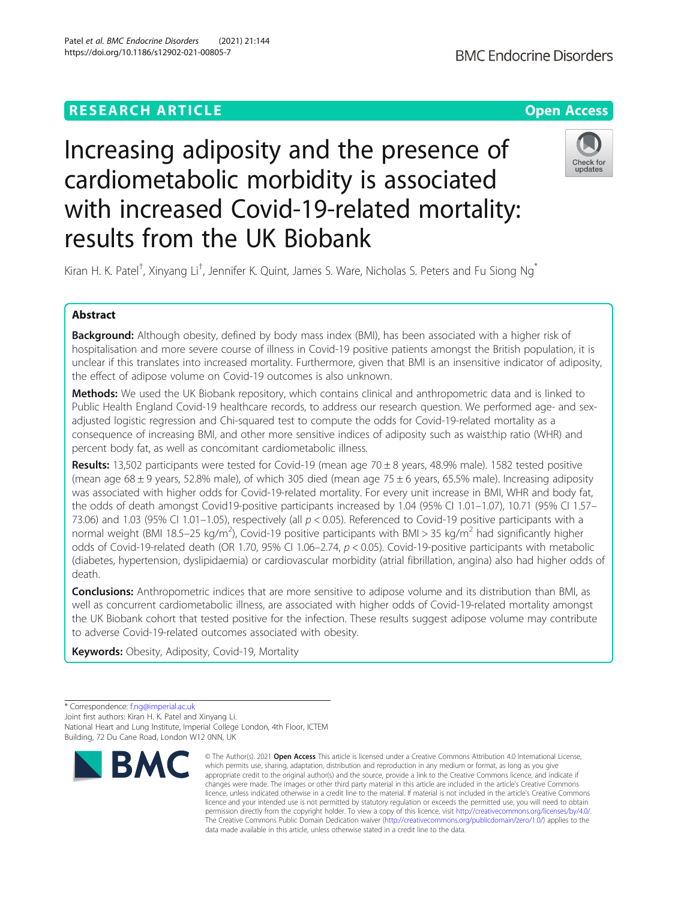https://doi.org/10.1186/s12902-021-00805-7

Patel et al. BMC Endocrine Disorders (2021) 21:144

# Increasing adiposity and the presence of cardiometabolic morbidity is associated with increased Covid-19-related mortality: results from the UK Biobank



Kiran H. K. Patel<sup>†</sup>, Xinyang Li<sup>†</sup>, Jennifer K. Quint, James S. Ware, Nicholas S. Peters and Fu Siong Ng<sup>\*</sup>

# Abstract

Background: Although obesity, defined by body mass index (BMI), has been associated with a higher risk of hospitalisation and more severe course of illness in Covid-19 positive patients amongst the British population, it is unclear if this translates into increased mortality. Furthermore, given that BMI is an insensitive indicator of adiposity, the effect of adipose volume on Covid-19 outcomes is also unknown.

Methods: We used the UK Biobank repository, which contains clinical and anthropometric data and is linked to Public Health England Covid-19 healthcare records, to address our research question. We performed age- and sexadjusted logistic regression and Chi-squared test to compute the odds for Covid-19-related mortality as a consequence of increasing BMI, and other more sensitive indices of adiposity such as waist:hip ratio (WHR) and percent body fat, as well as concomitant cardiometabolic illness.

Results: 13,502 participants were tested for Covid-19 (mean age 70  $\pm$  8 years, 48.9% male). 1582 tested positive (mean age  $68 \pm 9$  years, 52.8% male), of which 305 died (mean age 75  $\pm$  6 years, 65.5% male). Increasing adiposity was associated with higher odds for Covid-19-related mortality. For every unit increase in BMI, WHR and body fat, the odds of death amongst Covid19-positive participants increased by 1.04 (95% CI 1.01–1.07), 10.71 (95% CI 1.57– 73.06) and 1.03 (95% CI 1.01–1.05), respectively (all  $p < 0.05$ ). Referenced to Covid-19 positive participants with a normal weight (BMI 18.5–25 kg/m<sup>2</sup>), Covid-19 positive participants with BMI > 35 kg/m<sup>2</sup> had significantly higher odds of Covid-19-related death (OR 1.70, 95% CI 1.06–2.74,  $p < 0.05$ ). Covid-19-positive participants with metabolic (diabetes, hypertension, dyslipidaemia) or cardiovascular morbidity (atrial fibrillation, angina) also had higher odds of death.

**Conclusions:** Anthropometric indices that are more sensitive to adipose volume and its distribution than BMI, as well as concurrent cardiometabolic illness, are associated with higher odds of Covid-19-related mortality amongst the UK Biobank cohort that tested positive for the infection. These results suggest adipose volume may contribute to adverse Covid-19-related outcomes associated with obesity.

Keywords: Obesity, Adiposity, Covid-19, Mortality

<sup>\*</sup> Correspondence: [f.ng@imperial.ac.uk](mailto:f.ng@imperial.ac.uk) Joint first authors: Kiran H. K. Patel and Xinyang Li. National Heart and Lung Institute, Imperial College London, 4th Floor, ICTEM Building, 72 Du Cane Road, London W12 0NN, UK



<sup>©</sup> The Author(s), 2021 **Open Access** This article is licensed under a Creative Commons Attribution 4.0 International License, which permits use, sharing, adaptation, distribution and reproduction in any medium or format, as long as you give appropriate credit to the original author(s) and the source, provide a link to the Creative Commons licence, and indicate if changes were made. The images or other third party material in this article are included in the article's Creative Commons licence, unless indicated otherwise in a credit line to the material. If material is not included in the article's Creative Commons licence and your intended use is not permitted by statutory regulation or exceeds the permitted use, you will need to obtain permission directly from the copyright holder. To view a copy of this licence, visit [http://creativecommons.org/licenses/by/4.0/.](http://creativecommons.org/licenses/by/4.0/) The Creative Commons Public Domain Dedication waiver [\(http://creativecommons.org/publicdomain/zero/1.0/](http://creativecommons.org/publicdomain/zero/1.0/)) applies to the data made available in this article, unless otherwise stated in a credit line to the data.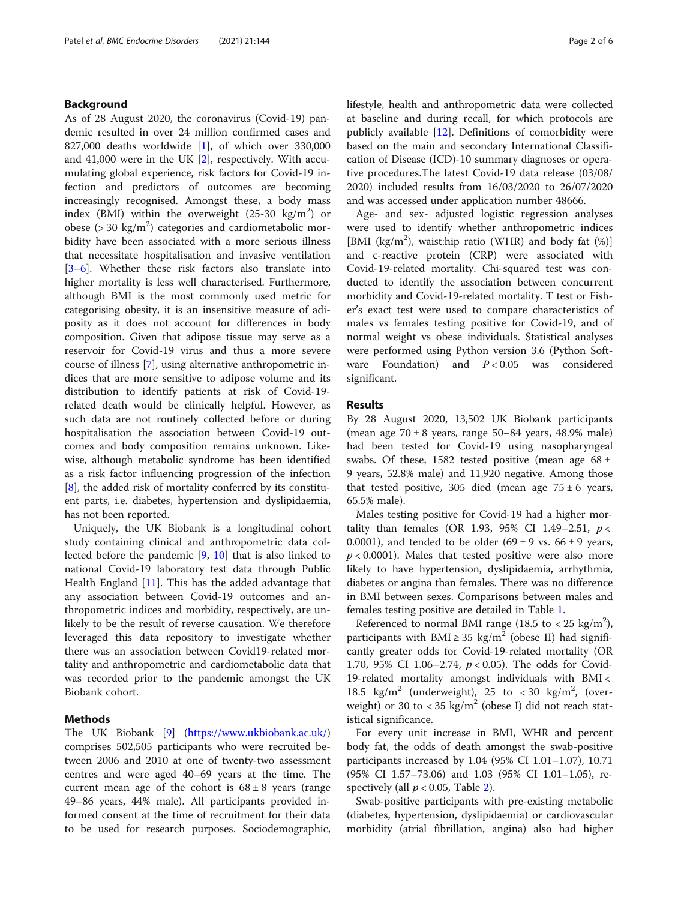# Background

As of 28 August 2020, the coronavirus (Covid-19) pandemic resulted in over 24 million confirmed cases and 827,000 deaths worldwide [[1\]](#page-4-0), of which over 330,000 and 41,000 were in the UK [[2\]](#page-4-0), respectively. With accumulating global experience, risk factors for Covid-19 infection and predictors of outcomes are becoming increasingly recognised. Amongst these, a body mass index (BMI) within the overweight  $(25-30 \text{ kg/m}^2)$  or obese ( $>$  30 kg/m<sup>2</sup>) categories and cardiometabolic morbidity have been associated with a more serious illness that necessitate hospitalisation and invasive ventilation [[3](#page-4-0)–[6\]](#page-4-0). Whether these risk factors also translate into higher mortality is less well characterised. Furthermore, although BMI is the most commonly used metric for categorising obesity, it is an insensitive measure of adiposity as it does not account for differences in body composition. Given that adipose tissue may serve as a reservoir for Covid-19 virus and thus a more severe course of illness [[7](#page-4-0)], using alternative anthropometric indices that are more sensitive to adipose volume and its distribution to identify patients at risk of Covid-19 related death would be clinically helpful. However, as such data are not routinely collected before or during hospitalisation the association between Covid-19 outcomes and body composition remains unknown. Likewise, although metabolic syndrome has been identified as a risk factor influencing progression of the infection [[8\]](#page-4-0), the added risk of mortality conferred by its constituent parts, i.e. diabetes, hypertension and dyslipidaemia, has not been reported.

Uniquely, the UK Biobank is a longitudinal cohort study containing clinical and anthropometric data collected before the pandemic [[9,](#page-4-0) [10](#page-4-0)] that is also linked to national Covid-19 laboratory test data through Public Health England [[11\]](#page-4-0). This has the added advantage that any association between Covid-19 outcomes and anthropometric indices and morbidity, respectively, are unlikely to be the result of reverse causation. We therefore leveraged this data repository to investigate whether there was an association between Covid19-related mortality and anthropometric and cardiometabolic data that was recorded prior to the pandemic amongst the UK Biobank cohort.

# Methods

The UK Biobank [\[9\]](#page-4-0) (<https://www.ukbiobank.ac.uk/>) comprises 502,505 participants who were recruited between 2006 and 2010 at one of twenty-two assessment centres and were aged 40–69 years at the time. The current mean age of the cohort is  $68 \pm 8$  years (range 49–86 years, 44% male). All participants provided informed consent at the time of recruitment for their data to be used for research purposes. Sociodemographic, lifestyle, health and anthropometric data were collected at baseline and during recall, for which protocols are publicly available [[12\]](#page-4-0). Definitions of comorbidity were based on the main and secondary International Classification of Disease (ICD)-10 summary diagnoses or operative procedures.The latest Covid-19 data release (03/08/ 2020) included results from 16/03/2020 to 26/07/2020 and was accessed under application number 48666.

Age- and sex- adjusted logistic regression analyses were used to identify whether anthropometric indices [BMI (kg/m<sup>2</sup>), waist:hip ratio (WHR) and body fat (%)] and c-reactive protein (CRP) were associated with Covid-19-related mortality. Chi-squared test was conducted to identify the association between concurrent morbidity and Covid-19-related mortality. T test or Fisher's exact test were used to compare characteristics of males vs females testing positive for Covid-19, and of normal weight vs obese individuals. Statistical analyses were performed using Python version 3.6 (Python Software Foundation) and  $P < 0.05$  was considered significant.

# Results

By 28 August 2020, 13,502 UK Biobank participants (mean age  $70 \pm 8$  years, range  $50-84$  years,  $48.9\%$  male) had been tested for Covid-19 using nasopharyngeal swabs. Of these, 1582 tested positive (mean age  $68 \pm$ 9 years, 52.8% male) and 11,920 negative. Among those that tested positive, 305 died (mean age  $75 \pm 6$  years, 65.5% male).

Males testing positive for Covid-19 had a higher mortality than females (OR 1.93, 95% CI 1.49-2.51,  $p <$ 0.0001), and tended to be older  $(69 \pm 9 \text{ vs. } 66 \pm 9 \text{ years})$  $p < 0.0001$ ). Males that tested positive were also more likely to have hypertension, dyslipidaemia, arrhythmia, diabetes or angina than females. There was no difference in BMI between sexes. Comparisons between males and females testing positive are detailed in Table [1.](#page-2-0)

Referenced to normal BMI range (18.5 to  $<$  25 kg/m<sup>2</sup>), participants with BMI  $\geq$  35 kg/m<sup>2</sup> (obese II) had significantly greater odds for Covid-19-related mortality (OR 1.70, 95% CI 1.06–2.74,  $p < 0.05$ ). The odds for Covid-19-related mortality amongst individuals with BMI < 18.5  $\text{kg/m}^2$  (underweight), 25 to <30  $\text{kg/m}^2$ , (overweight) or 30 to  $<$  35 kg/m<sup>2</sup> (obese I) did not reach statistical significance.

For every unit increase in BMI, WHR and percent body fat, the odds of death amongst the swab-positive participants increased by 1.04 (95% CI 1.01–1.07), 10.71 (95% CI 1.57–73.06) and 1.03 (95% CI 1.01–1.05), respectively (all  $p < 0.05$ , Table [2\)](#page-2-0).

Swab-positive participants with pre-existing metabolic (diabetes, hypertension, dyslipidaemia) or cardiovascular morbidity (atrial fibrillation, angina) also had higher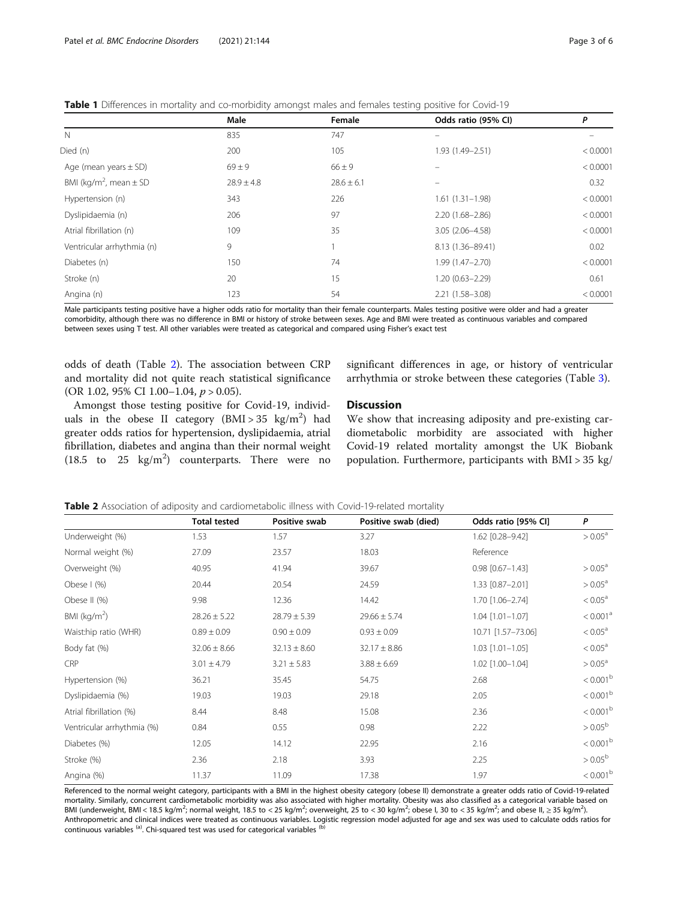<span id="page-2-0"></span>Table 1 Differences in mortality and co-morbidity amongst males and females testing positive for Covid-19

|                                        |                |                | - -                 |          |
|----------------------------------------|----------------|----------------|---------------------|----------|
|                                        | Male           | Female         | Odds ratio (95% CI) | P        |
| $\mathbb N$                            | 835            | 747            |                     |          |
| Died (n)                               | 200            | 105            | 1.93 (1.49-2.51)    | < 0.0001 |
| Age (mean years $\pm$ SD)              | $69 \pm 9$     | $66 \pm 9$     |                     | < 0.0001 |
| BMI (kg/m <sup>2</sup> , mean $\pm$ SD | $28.9 \pm 4.8$ | $28.6 \pm 6.1$ |                     | 0.32     |
| Hypertension (n)                       | 343            | 226            | $1.61(1.31-1.98)$   | < 0.0001 |
| Dyslipidaemia (n)                      | 206            | 97             | $2.20(1.68 - 2.86)$ | < 0.0001 |
| Atrial fibrillation (n)                | 109            | 35             | 3.05 (2.06-4.58)    | < 0.0001 |
| Ventricular arrhythmia (n)             | 9              |                | 8.13 (1.36-89.41)   | 0.02     |
| Diabetes (n)                           | 150            | 74             | $1.99(1.47 - 2.70)$ | < 0.0001 |
| Stroke (n)                             | 20             | 15             | $1.20(0.63 - 2.29)$ | 0.61     |
| Angina (n)                             | 123            | 54             | 2.21 (1.58-3.08)    | < 0.0001 |
|                                        |                |                |                     |          |

Male participants testing positive have a higher odds ratio for mortality than their female counterparts. Males testing positive were older and had a greater comorbidity, although there was no difference in BMI or history of stroke between sexes. Age and BMI were treated as continuous variables and compared between sexes using T test. All other variables were treated as categorical and compared using Fisher's exact test

odds of death (Table 2). The association between CRP and mortality did not quite reach statistical significance (OR 1.02, 95% CI 1.00-1.04,  $p > 0.05$ ).

significant differences in age, or history of ventricular arrhythmia or stroke between these categories (Table [3\)](#page-3-0).

Amongst those testing positive for Covid-19, individuals in the obese II category  $(BMI > 35 \text{ kg/m}^2)$  had greater odds ratios for hypertension, dyslipidaemia, atrial fibrillation, diabetes and angina than their normal weight (18.5 to 25  $\text{kg/m}^2$ ) counterparts. There were no

**Discussion** 

We show that increasing adiposity and pre-existing cardiometabolic morbidity are associated with higher Covid-19 related mortality amongst the UK Biobank population. Furthermore, participants with BMI > 35 kg/

|  |  |  | <b>Table 2</b> Association of adiposity and cardiometabolic illness with Covid-19-related mortality |
|--|--|--|-----------------------------------------------------------------------------------------------------|
|--|--|--|-----------------------------------------------------------------------------------------------------|

|                            | <b>Total tested</b> | Positive swab    | Positive swab (died) | Odds ratio [95% CI]    | P                    |
|----------------------------|---------------------|------------------|----------------------|------------------------|----------------------|
| Underweight (%)            | 1.53                | 1.57             | 3.27                 | 1.62 [0.28-9.42]       | $> 0.05^{\circ}$     |
| Normal weight (%)          | 27.09               | 23.57            | 18.03                | Reference              |                      |
| Overweight (%)             | 40.95               | 41.94            | 39.67                | $0.98$ $[0.67 - 1.43]$ | $> 0.05^{\circ}$     |
| Obese $\mid$ (%)           | 20.44               | 20.54            | 24.59                | 1.33 [0.87-2.01]       | $> 0.05^{\circ}$     |
| Obese II (%)               | 9.98                | 12.36            | 14.42                | 1.70 [1.06-2.74]       | $< 0.05^{\circ}$     |
| BMI ( $kg/m2$ )            | $28.26 \pm 5.22$    | $28.79 \pm 5.39$ | $29.66 \pm 5.74$     | $1.04$ $[1.01 - 1.07]$ | < 0.001 <sup>a</sup> |
| Waist:hip ratio (WHR)      | $0.89 \pm 0.09$     | $0.90 \pm 0.09$  | $0.93 \pm 0.09$      | 10.71 [1.57-73.06]     | $< 0.05^{\circ}$     |
| Body fat (%)               | $32.06 \pm 8.66$    | $32.13 \pm 8.60$ | $32.17 \pm 8.86$     | $1.03$ $[1.01 - 1.05]$ | $< 0.05^{\circ}$     |
| <b>CRP</b>                 | $3.01 \pm 4.79$     | $3.21 \pm 5.83$  | $3.88 \pm 6.69$      | 1.02 [1.00-1.04]       | $> 0.05^{\circ}$     |
| Hypertension (%)           | 36.21               | 35.45            | 54.75                | 2.68                   | $< 0.001^{\rm b}$    |
| Dyslipidaemia (%)          | 19.03               | 19.03            | 29.18                | 2.05                   | $< 0.001^{\rm b}$    |
| Atrial fibrillation (%)    | 8.44                | 8.48             | 15.08                | 2.36                   | < 0.001 <sup>b</sup> |
| Ventricular arrhythmia (%) | 0.84                | 0.55             | 0.98                 | 2.22                   | $> 0.05^{\rm b}$     |
| Diabetes (%)               | 12.05               | 14.12            | 22.95                | 2.16                   | $< 0.001^{\rm b}$    |
| Stroke (%)                 | 2.36                | 2.18             | 3.93                 | 2.25                   | $> 0.05^{\rm b}$     |
| Angina (%)                 | 11.37               | 11.09            | 17.38                | 1.97                   | $< 0.001^{\rm b}$    |

Referenced to the normal weight category, participants with a BMI in the highest obesity category (obese II) demonstrate a greater odds ratio of Covid-19-related mortality. Similarly, concurrent cardiometabolic morbidity was also associated with higher mortality. Obesity was also classified as a categorical variable based on BMI (underweight, BMI < 18.5 kg/m<sup>2</sup>; normal weight, 18.5 to < 25 kg/m<sup>2</sup>; overweight, 25 to < 30 kg/m<sup>2</sup>; obese I, 30 to < 35 kg/m<sup>2</sup>; and obese II, ≥ 35 kg/m<sup>2</sup>). Anthropometric and clinical indices were treated as continuous variables. Logistic regression model adjusted for age and sex was used to calculate odds ratios for continuous variables  $\left( \mathbf{a} \right)$ . Chi-squared test was used for categorical variables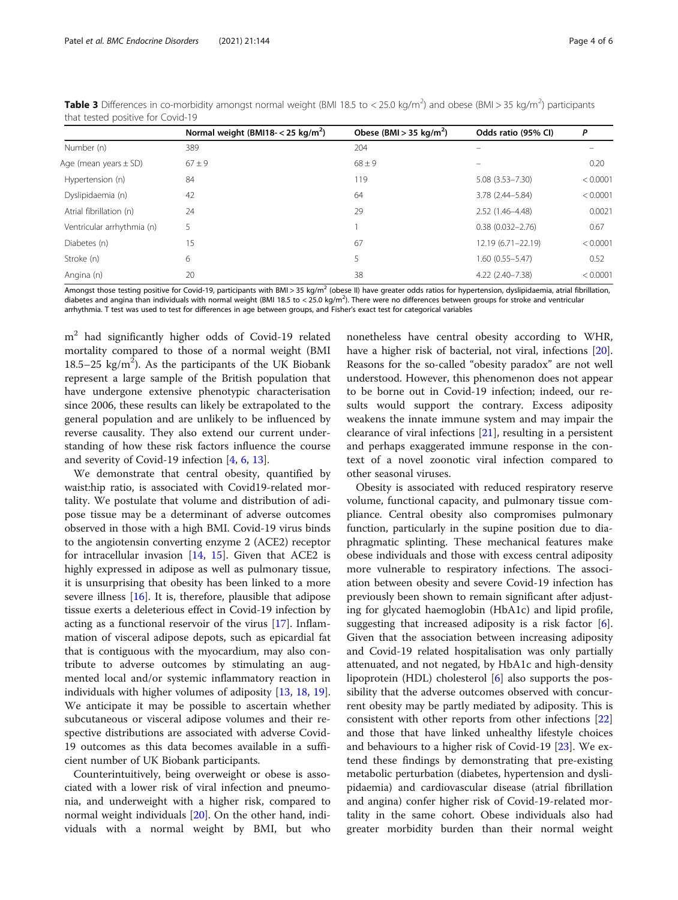|                            | Normal weight (BMI18- $<$ 25 kg/m <sup>2</sup> ) | Obese (BMI > 35 kg/m <sup>2</sup> ) | Odds ratio (95% CI)  | P        |
|----------------------------|--------------------------------------------------|-------------------------------------|----------------------|----------|
| Number (n)                 | 389                                              | 204                                 |                      |          |
| Age (mean years $\pm$ SD)  | $67 \pm 9$                                       | $68 \pm 9$                          |                      | 0.20     |
| Hypertension (n)           | 84                                               | 119                                 | $5.08(3.53 - 7.30)$  | < 0.0001 |
| Dyslipidaemia (n)          | 42                                               | 64                                  | 3.78 (2.44-5.84)     | < 0.0001 |
| Atrial fibrillation (n)    | 24                                               | 29                                  | $2.52(1.46 - 4.48)$  | 0.0021   |
| Ventricular arrhythmia (n) | 5                                                |                                     | $0.38(0.032 - 2.76)$ | 0.67     |
| Diabetes (n)               | 15                                               | 67                                  | 12.19 (6.71-22.19)   | < 0.0001 |
| Stroke (n)                 | 6                                                | 5                                   | 1.60 (0.55-5.47)     | 0.52     |
| Angina (n)                 | 20                                               | 38                                  | 4.22 (2.40-7.38)     | < 0.0001 |

<span id="page-3-0"></span>Table 3 Differences in co-morbidity amongst normal weight (BMI 18.5 to < 25.0 kg/m<sup>2</sup>) and obese (BMI > 35 kg/m<sup>2</sup>) participants that tested positive for Covid-19

Amongst those testing positive for Covid-19, participants with BMI > 35 kg/m<sup>2</sup> (obese II) have greater odds ratios for hypertension, dyslipidaemia, atrial fibrillation, diabetes and angina than individuals with normal weight (BMI 18.5 to < 25.0 kg/m<sup>2</sup>). There were no differences between groups for stroke and ventricular arrhythmia. T test was used to test for differences in age between groups, and Fisher's exact test for categorical variables

m<sup>2</sup> had significantly higher odds of Covid-19 related mortality compared to those of a normal weight (BMI  $18.5-25$  kg/m<sup>2</sup>). As the participants of the UK Biobank represent a large sample of the British population that have undergone extensive phenotypic characterisation since 2006, these results can likely be extrapolated to the general population and are unlikely to be influenced by reverse causality. They also extend our current understanding of how these risk factors influence the course and severity of Covid-19 infection [[4,](#page-4-0) [6,](#page-4-0) [13\]](#page-4-0).

We demonstrate that central obesity, quantified by waist:hip ratio, is associated with Covid19-related mortality. We postulate that volume and distribution of adipose tissue may be a determinant of adverse outcomes observed in those with a high BMI. Covid-19 virus binds to the angiotensin converting enzyme 2 (ACE2) receptor for intracellular invasion  $[14, 15]$  $[14, 15]$  $[14, 15]$  $[14, 15]$  $[14, 15]$ . Given that ACE2 is highly expressed in adipose as well as pulmonary tissue, it is unsurprising that obesity has been linked to a more severe illness [\[16](#page-4-0)]. It is, therefore, plausible that adipose tissue exerts a deleterious effect in Covid-19 infection by acting as a functional reservoir of the virus [[17\]](#page-4-0). Inflammation of visceral adipose depots, such as epicardial fat that is contiguous with the myocardium, may also contribute to adverse outcomes by stimulating an augmented local and/or systemic inflammatory reaction in individuals with higher volumes of adiposity [\[13,](#page-4-0) [18](#page-5-0), [19](#page-5-0)]. We anticipate it may be possible to ascertain whether subcutaneous or visceral adipose volumes and their respective distributions are associated with adverse Covid-19 outcomes as this data becomes available in a sufficient number of UK Biobank participants.

Counterintuitively, being overweight or obese is associated with a lower risk of viral infection and pneumonia, and underweight with a higher risk, compared to normal weight individuals [[20\]](#page-5-0). On the other hand, individuals with a normal weight by BMI, but who nonetheless have central obesity according to WHR, have a higher risk of bacterial, not viral, infections [\[20](#page-5-0)]. Reasons for the so-called "obesity paradox" are not well understood. However, this phenomenon does not appear to be borne out in Covid-19 infection; indeed, our results would support the contrary. Excess adiposity weakens the innate immune system and may impair the clearance of viral infections  $[21]$  $[21]$  $[21]$ , resulting in a persistent and perhaps exaggerated immune response in the context of a novel zoonotic viral infection compared to other seasonal viruses.

Obesity is associated with reduced respiratory reserve volume, functional capacity, and pulmonary tissue compliance. Central obesity also compromises pulmonary function, particularly in the supine position due to diaphragmatic splinting. These mechanical features make obese individuals and those with excess central adiposity more vulnerable to respiratory infections. The association between obesity and severe Covid-19 infection has previously been shown to remain significant after adjusting for glycated haemoglobin (HbA1c) and lipid profile, suggesting that increased adiposity is a risk factor [\[6](#page-4-0)]. Given that the association between increasing adiposity and Covid-19 related hospitalisation was only partially attenuated, and not negated, by HbA1c and high-density lipoprotein (HDL) cholesterol [[6\]](#page-4-0) also supports the possibility that the adverse outcomes observed with concurrent obesity may be partly mediated by adiposity. This is consistent with other reports from other infections [[22](#page-5-0)] and those that have linked unhealthy lifestyle choices and behaviours to a higher risk of Covid-19 [\[23](#page-5-0)]. We extend these findings by demonstrating that pre-existing metabolic perturbation (diabetes, hypertension and dyslipidaemia) and cardiovascular disease (atrial fibrillation and angina) confer higher risk of Covid-19-related mortality in the same cohort. Obese individuals also had greater morbidity burden than their normal weight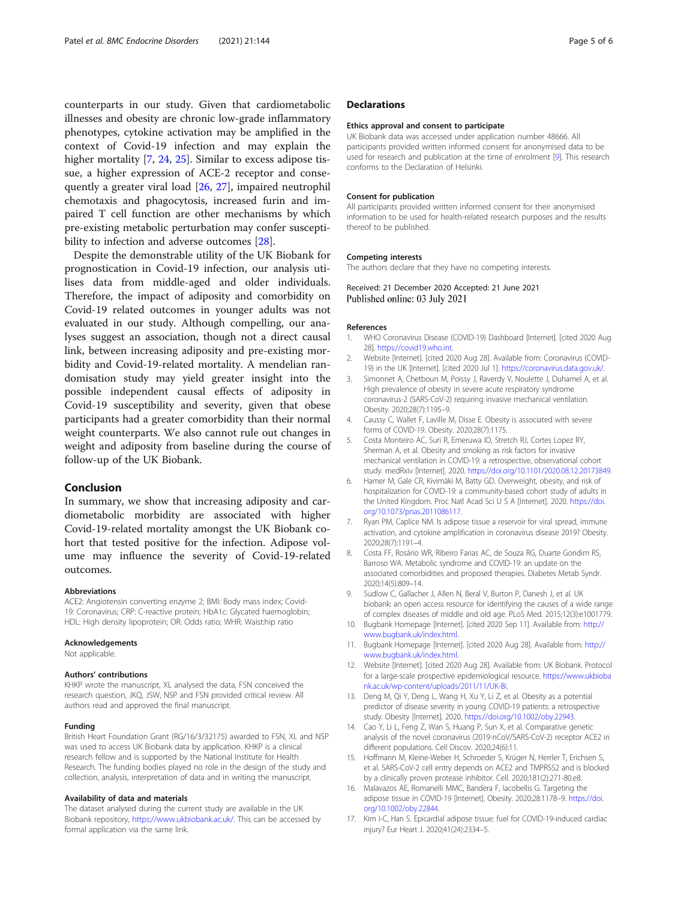<span id="page-4-0"></span>counterparts in our study. Given that cardiometabolic illnesses and obesity are chronic low-grade inflammatory phenotypes, cytokine activation may be amplified in the context of Covid-19 infection and may explain the higher mortality [7, [24,](#page-5-0) [25\]](#page-5-0). Similar to excess adipose tissue, a higher expression of ACE-2 receptor and consequently a greater viral load [[26](#page-5-0), [27\]](#page-5-0), impaired neutrophil chemotaxis and phagocytosis, increased furin and impaired T cell function are other mechanisms by which pre-existing metabolic perturbation may confer suscepti-bility to infection and adverse outcomes [[28\]](#page-5-0).

Despite the demonstrable utility of the UK Biobank for prognostication in Covid-19 infection, our analysis utilises data from middle-aged and older individuals. Therefore, the impact of adiposity and comorbidity on Covid-19 related outcomes in younger adults was not evaluated in our study. Although compelling, our analyses suggest an association, though not a direct causal link, between increasing adiposity and pre-existing morbidity and Covid-19-related mortality. A mendelian randomisation study may yield greater insight into the possible independent causal effects of adiposity in Covid-19 susceptibility and severity, given that obese participants had a greater comorbidity than their normal weight counterparts. We also cannot rule out changes in weight and adiposity from baseline during the course of follow-up of the UK Biobank.

# Conclusion

In summary, we show that increasing adiposity and cardiometabolic morbidity are associated with higher Covid-19-related mortality amongst the UK Biobank cohort that tested positive for the infection. Adipose volume may influence the severity of Covid-19-related outcomes.

#### Abbreviations

ACE2: Angiotensin converting enzyme 2; BMI: Body mass index; Covid-19: Coronavirus; CRP: C-reactive protein; HbA1c: Glycated haemoglobin; HDL: High density lipoprotein; OR: Odds ratio; WHR: Waist:hip ratio

#### Acknowledgements

Not applicable.

#### Authors' contributions

KHKP wrote the manuscript, XL analysed the data, FSN conceived the research question, JKQ, JSW, NSP and FSN provided critical review. All authors read and approved the final manuscript.

#### Funding

British Heart Foundation Grant (RG/16/3/32175) awarded to FSN, XL and NSP was used to access UK Biobank data by application. KHKP is a clinical research fellow and is supported by the National Institute for Health Research. The funding bodies played no role in the design of the study and collection, analysis, interpretation of data and in writing the manuscript.

#### Availability of data and materials

The dataset analysed during the current study are available in the UK Biobank repository, <https://www.ukbiobank.ac.uk/>. This can be accessed by formal application via the same link.

# **Declarations**

#### Ethics approval and consent to participate

UK Biobank data was accessed under application number 48666. All participants provided written informed consent for anonymised data to be used for research and publication at the time of enrolment [9]. This research conforms to the Declaration of Helsinki.

#### Consent for publication

All participants provided written informed consent for their anonymised information to be used for health-related research purposes and the results thereof to be published.

#### Competing interests

The authors declare that they have no competing interests.

Received: 21 December 2020 Accepted: 21 June 2021 Published online: 03 July 2021

### References

- 1. WHO Coronavirus Disease (COVID-19) Dashboard [Internet]. [cited 2020 Aug 28]. <https://covid19.who.int>.
- 2. Website [Internet]. [cited 2020 Aug 28]. Available from: Coronavirus (COVID-19) in the UK [Internet]. [cited 2020 Jul 1]. <https://coronavirus.data.gov.uk/>.
- 3. Simonnet A, Chetboun M, Poissy J, Raverdy V, Noulette J, Duhamel A, et al. High prevalence of obesity in severe acute respiratory syndrome coronavirus-2 (SARS-CoV-2) requiring invasive mechanical ventilation. Obesity. 2020;28(7):1195–9.
- 4. Caussy C, Wallet F, Laville M, Disse E. Obesity is associated with severe forms of COVID-19. Obesity. 2020;28(7):1175.
- 5. Costa Monteiro AC, Suri R, Emeruwa IO, Stretch RJ, Cortes Lopez RY, Sherman A, et al. Obesity and smoking as risk factors for invasive mechanical ventilation in COVID-19: a retrospective, observational cohort study. medRxiv [Internet]. 2020. [https://doi.org/10.1101/2020.08.12.20173849.](https://doi.org/10.1101/2020.08.12.20173849)
- 6. Hamer M, Gale CR, Kivimäki M, Batty GD. Overweight, obesity, and risk of hospitalization for COVID-19: a community-based cohort study of adults in the United Kingdom. Proc Natl Acad Sci U S A [Internet]. 2020. [https://doi.](https://doi.org/10.1073/pnas.2011086117) [org/10.1073/pnas.2011086117.](https://doi.org/10.1073/pnas.2011086117)
- 7. Ryan PM, Caplice NM. Is adipose tissue a reservoir for viral spread, immune activation, and cytokine amplification in coronavirus disease 2019? Obesity. 2020;28(7):1191–4.
- 8. Costa FF, Rosário WR, Ribeiro Farias AC, de Souza RG, Duarte Gondim RS, Barroso WA. Metabolic syndrome and COVID-19: an update on the associated comorbidities and proposed therapies. Diabetes Metab Syndr. 2020;14(5):809–14.
- Sudlow C, Gallacher J, Allen N, Beral V, Burton P, Danesh J, et al. UK biobank: an open access resource for identifying the causes of a wide range of complex diseases of middle and old age. PLoS Med. 2015;12(3):e1001779.
- 10. Bugbank Homepage [Internet]. [cited 2020 Sep 11]. Available from: [http://](http://www.bugbank.uk/index.html) [www.bugbank.uk/index.html.](http://www.bugbank.uk/index.html)
- 11. Bugbank Homepage [Internet]. [cited 2020 Aug 28]. Available from: [http://](http://www.bugbank.uk/index.html) [www.bugbank.uk/index.html.](http://www.bugbank.uk/index.html)
- 12. Website [Internet]. [cited 2020 Aug 28]. Available from: UK Biobank. Protocol for a large-scale prospective epidemiological resource. [https://www.ukbioba](https://www.ukbiobank.ac.uk/wp-content/uploads/2011/11/UK-Bi) [nk.ac.uk/wp-content/uploads/2011/11/UK-Bi](https://www.ukbiobank.ac.uk/wp-content/uploads/2011/11/UK-Bi).
- 13. Deng M, Qi Y, Deng L, Wang H, Xu Y, Li Z, et al. Obesity as a potential predictor of disease severity in young COVID-19 patients: a retrospective study. Obesity [Internet]. 2020. <https://doi.org/10.1002/oby.22943>.
- 14. Cao Y, Li L, Feng Z, Wan S, Huang P, Sun X, et al. Comparative genetic analysis of the novel coronavirus (2019-nCoV/SARS-CoV-2) receptor ACE2 in different populations. Cell Discov. 2020;24(6):11.
- 15. Hoffmann M, Kleine-Weber H, Schroeder S, Krüger N, Herrler T, Erichsen S, et al. SARS-CoV-2 cell entry depends on ACE2 and TMPRSS2 and is blocked by a clinically proven protease inhibitor. Cell. 2020;181(2):271-80.e8.
- 16. Malavazos AE, Romanelli MMC, Bandera F, Iacobellis G. Targeting the adipose tissue in COVID-19 [Internet]. Obesity. 2020;28:1178–9. [https://doi.](https://doi.org/10.1002/oby.22844) [org/10.1002/oby.22844](https://doi.org/10.1002/oby.22844).
- 17. Kim I-C, Han S. Epicardial adipose tissue: fuel for COVID-19-induced cardiac injury? Eur Heart J. 2020;41(24):2334–5.